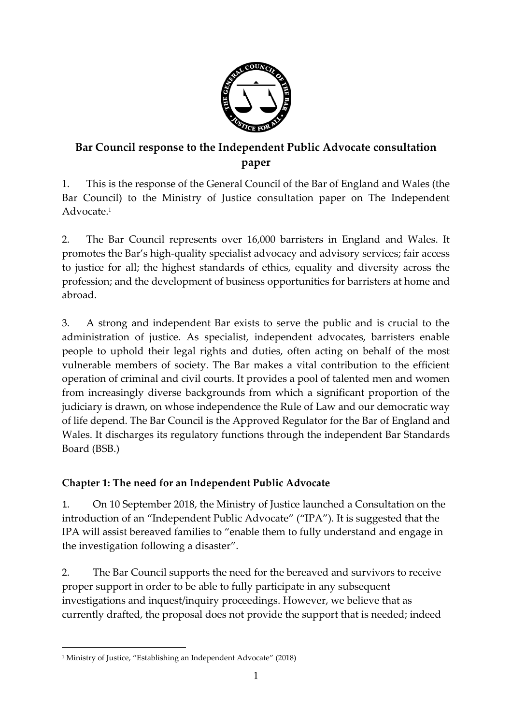

# **Bar Council response to the Independent Public Advocate consultation paper**

1. This is the response of the General Council of the Bar of England and Wales (the Bar Council) to the Ministry of Justice consultation paper on The Independent Advocate.<sup>1</sup>

2. The Bar Council represents over 16,000 barristers in England and Wales. It promotes the Bar's high-quality specialist advocacy and advisory services; fair access to justice for all; the highest standards of ethics, equality and diversity across the profession; and the development of business opportunities for barristers at home and abroad.

3. A strong and independent Bar exists to serve the public and is crucial to the administration of justice. As specialist, independent advocates, barristers enable people to uphold their legal rights and duties, often acting on behalf of the most vulnerable members of society. The Bar makes a vital contribution to the efficient operation of criminal and civil courts. It provides a pool of talented men and women from increasingly diverse backgrounds from which a significant proportion of the judiciary is drawn, on whose independence the Rule of Law and our democratic way of life depend. The Bar Council is the Approved Regulator for the Bar of England and Wales. It discharges its regulatory functions through the independent Bar Standards Board (BSB.)

# **Chapter 1: The need for an Independent Public Advocate**

1. On 10 September 2018, the Ministry of Justice launched a Consultation on the introduction of an "Independent Public Advocate" ("IPA"). It is suggested that the IPA will assist bereaved families to "enable them to fully understand and engage in the investigation following a disaster".

2. The Bar Council supports the need for the bereaved and survivors to receive proper support in order to be able to fully participate in any subsequent investigations and inquest/inquiry proceedings. However, we believe that as currently drafted, the proposal does not provide the support that is needed; indeed

 $\overline{a}$ <sup>1</sup> Ministry of Justice, "Establishing an Independent Advocate" (2018)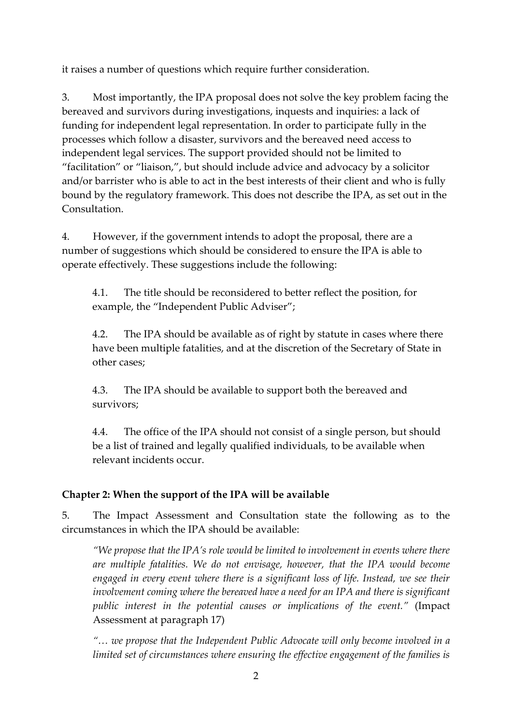it raises a number of questions which require further consideration.

3. Most importantly, the IPA proposal does not solve the key problem facing the bereaved and survivors during investigations, inquests and inquiries: a lack of funding for independent legal representation. In order to participate fully in the processes which follow a disaster, survivors and the bereaved need access to independent legal services. The support provided should not be limited to "facilitation" or "liaison,", but should include advice and advocacy by a solicitor and/or barrister who is able to act in the best interests of their client and who is fully bound by the regulatory framework. This does not describe the IPA, as set out in the Consultation.

4. However, if the government intends to adopt the proposal, there are a number of suggestions which should be considered to ensure the IPA is able to operate effectively. These suggestions include the following:

4.1. The title should be reconsidered to better reflect the position, for example, the "Independent Public Adviser";

4.2. The IPA should be available as of right by statute in cases where there have been multiple fatalities, and at the discretion of the Secretary of State in other cases;

4.3. The IPA should be available to support both the bereaved and survivors;

4.4. The office of the IPA should not consist of a single person, but should be a list of trained and legally qualified individuals, to be available when relevant incidents occur.

## **Chapter 2: When the support of the IPA will be available**

5. The Impact Assessment and Consultation state the following as to the circumstances in which the IPA should be available:

*"We propose that the IPA's role would be limited to involvement in events where there are multiple fatalities. We do not envisage, however, that the IPA would become engaged in every event where there is a significant loss of life. Instead, we see their involvement coming where the bereaved have a need for an IPA and there is significant public interest in the potential causes or implications of the event."* (Impact Assessment at paragraph 17)

*"… we propose that the Independent Public Advocate will only become involved in a limited set of circumstances where ensuring the effective engagement of the families is*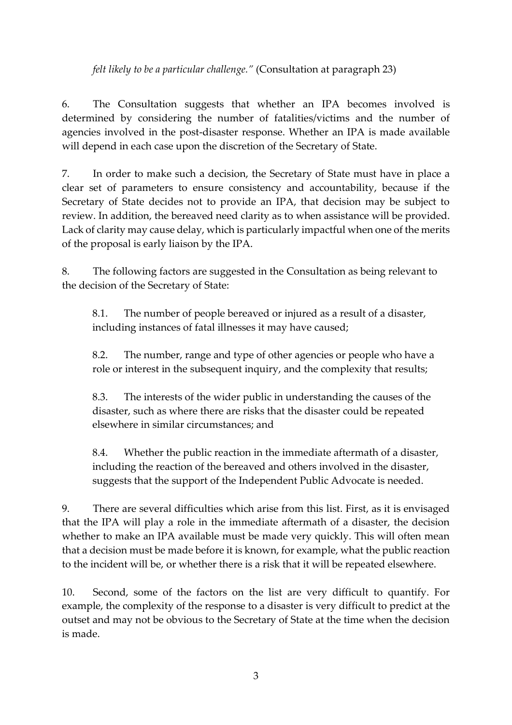*felt likely to be a particular challenge."* (Consultation at paragraph 23)

6. The Consultation suggests that whether an IPA becomes involved is determined by considering the number of fatalities/victims and the number of agencies involved in the post-disaster response. Whether an IPA is made available will depend in each case upon the discretion of the Secretary of State.

7. In order to make such a decision, the Secretary of State must have in place a clear set of parameters to ensure consistency and accountability, because if the Secretary of State decides not to provide an IPA, that decision may be subject to review. In addition, the bereaved need clarity as to when assistance will be provided. Lack of clarity may cause delay, which is particularly impactful when one of the merits of the proposal is early liaison by the IPA.

8. The following factors are suggested in the Consultation as being relevant to the decision of the Secretary of State:

8.1. The number of people bereaved or injured as a result of a disaster, including instances of fatal illnesses it may have caused;

8.2. The number, range and type of other agencies or people who have a role or interest in the subsequent inquiry, and the complexity that results;

8.3. The interests of the wider public in understanding the causes of the disaster, such as where there are risks that the disaster could be repeated elsewhere in similar circumstances; and

8.4. Whether the public reaction in the immediate aftermath of a disaster, including the reaction of the bereaved and others involved in the disaster, suggests that the support of the Independent Public Advocate is needed.

9. There are several difficulties which arise from this list. First, as it is envisaged that the IPA will play a role in the immediate aftermath of a disaster, the decision whether to make an IPA available must be made very quickly. This will often mean that a decision must be made before it is known, for example, what the public reaction to the incident will be, or whether there is a risk that it will be repeated elsewhere.

10. Second, some of the factors on the list are very difficult to quantify. For example, the complexity of the response to a disaster is very difficult to predict at the outset and may not be obvious to the Secretary of State at the time when the decision is made.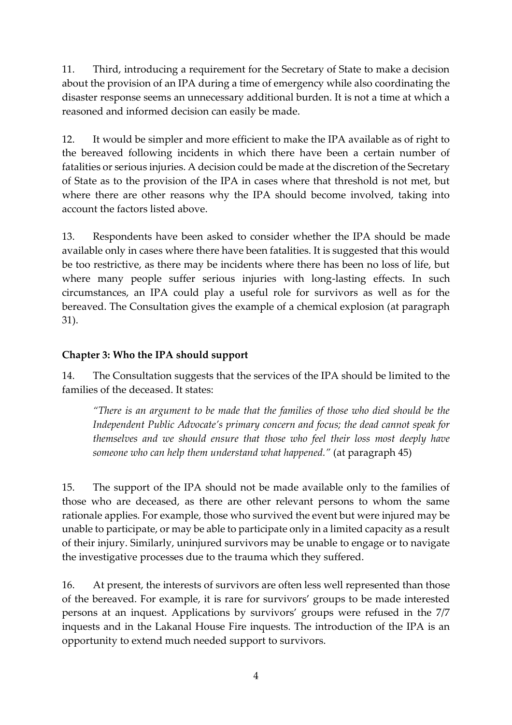11. Third, introducing a requirement for the Secretary of State to make a decision about the provision of an IPA during a time of emergency while also coordinating the disaster response seems an unnecessary additional burden. It is not a time at which a reasoned and informed decision can easily be made.

12. It would be simpler and more efficient to make the IPA available as of right to the bereaved following incidents in which there have been a certain number of fatalities or serious injuries. A decision could be made at the discretion of the Secretary of State as to the provision of the IPA in cases where that threshold is not met, but where there are other reasons why the IPA should become involved, taking into account the factors listed above.

13. Respondents have been asked to consider whether the IPA should be made available only in cases where there have been fatalities. It is suggested that this would be too restrictive, as there may be incidents where there has been no loss of life, but where many people suffer serious injuries with long-lasting effects. In such circumstances, an IPA could play a useful role for survivors as well as for the bereaved. The Consultation gives the example of a chemical explosion (at paragraph 31).

#### **Chapter 3: Who the IPA should support**

14. The Consultation suggests that the services of the IPA should be limited to the families of the deceased. It states:

*"There is an argument to be made that the families of those who died should be the Independent Public Advocate's primary concern and focus; the dead cannot speak for themselves and we should ensure that those who feel their loss most deeply have someone who can help them understand what happened."* (at paragraph 45)

15. The support of the IPA should not be made available only to the families of those who are deceased, as there are other relevant persons to whom the same rationale applies. For example, those who survived the event but were injured may be unable to participate, or may be able to participate only in a limited capacity as a result of their injury. Similarly, uninjured survivors may be unable to engage or to navigate the investigative processes due to the trauma which they suffered.

16. At present, the interests of survivors are often less well represented than those of the bereaved. For example, it is rare for survivors' groups to be made interested persons at an inquest. Applications by survivors' groups were refused in the 7/7 inquests and in the Lakanal House Fire inquests. The introduction of the IPA is an opportunity to extend much needed support to survivors.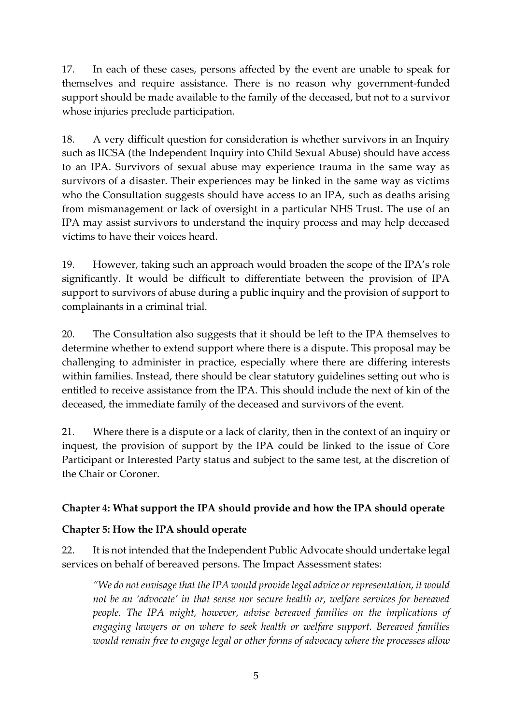17. In each of these cases, persons affected by the event are unable to speak for themselves and require assistance. There is no reason why government-funded support should be made available to the family of the deceased, but not to a survivor whose injuries preclude participation.

18. A very difficult question for consideration is whether survivors in an Inquiry such as IICSA (the Independent Inquiry into Child Sexual Abuse) should have access to an IPA. Survivors of sexual abuse may experience trauma in the same way as survivors of a disaster. Their experiences may be linked in the same way as victims who the Consultation suggests should have access to an IPA, such as deaths arising from mismanagement or lack of oversight in a particular NHS Trust. The use of an IPA may assist survivors to understand the inquiry process and may help deceased victims to have their voices heard.

19. However, taking such an approach would broaden the scope of the IPA's role significantly. It would be difficult to differentiate between the provision of IPA support to survivors of abuse during a public inquiry and the provision of support to complainants in a criminal trial.

20. The Consultation also suggests that it should be left to the IPA themselves to determine whether to extend support where there is a dispute. This proposal may be challenging to administer in practice, especially where there are differing interests within families. Instead, there should be clear statutory guidelines setting out who is entitled to receive assistance from the IPA. This should include the next of kin of the deceased, the immediate family of the deceased and survivors of the event.

21. Where there is a dispute or a lack of clarity, then in the context of an inquiry or inquest, the provision of support by the IPA could be linked to the issue of Core Participant or Interested Party status and subject to the same test, at the discretion of the Chair or Coroner.

## **Chapter 4: What support the IPA should provide and how the IPA should operate**

#### **Chapter 5: How the IPA should operate**

22. It is not intended that the Independent Public Advocate should undertake legal services on behalf of bereaved persons. The Impact Assessment states:

*"We do not envisage that the IPA would provide legal advice or representation, it would not be an 'advocate' in that sense nor secure health or, welfare services for bereaved people. The IPA might, however, advise bereaved families on the implications of engaging lawyers or on where to seek health or welfare support. Bereaved families would remain free to engage legal or other forms of advocacy where the processes allow*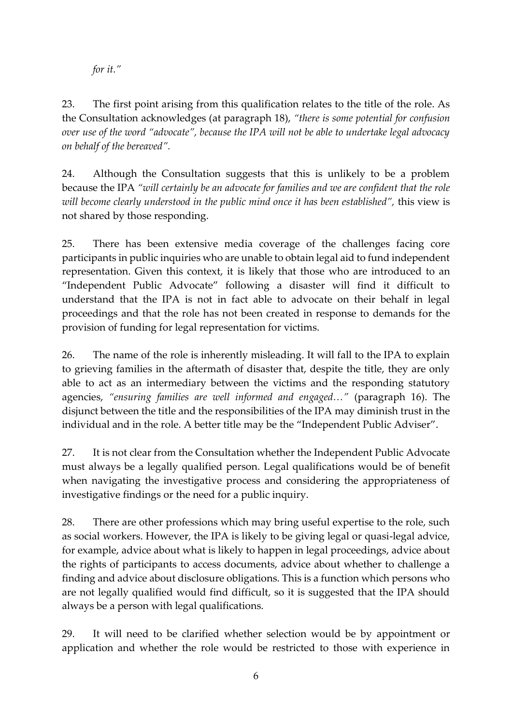*for it."*

23. The first point arising from this qualification relates to the title of the role. As the Consultation acknowledges (at paragraph 18), *"there is some potential for confusion over use of the word "advocate", because the IPA will not be able to undertake legal advocacy on behalf of the bereaved".*

24. Although the Consultation suggests that this is unlikely to be a problem because the IPA *"will certainly be an advocate for families and we are confident that the role will become clearly understood in the public mind once it has been established",* this view is not shared by those responding.

25. There has been extensive media coverage of the challenges facing core participants in public inquiries who are unable to obtain legal aid to fund independent representation. Given this context, it is likely that those who are introduced to an "Independent Public Advocate" following a disaster will find it difficult to understand that the IPA is not in fact able to advocate on their behalf in legal proceedings and that the role has not been created in response to demands for the provision of funding for legal representation for victims.

26. The name of the role is inherently misleading. It will fall to the IPA to explain to grieving families in the aftermath of disaster that, despite the title, they are only able to act as an intermediary between the victims and the responding statutory agencies, *"ensuring families are well informed and engaged…"* (paragraph 16). The disjunct between the title and the responsibilities of the IPA may diminish trust in the individual and in the role. A better title may be the "Independent Public Adviser".

27. It is not clear from the Consultation whether the Independent Public Advocate must always be a legally qualified person. Legal qualifications would be of benefit when navigating the investigative process and considering the appropriateness of investigative findings or the need for a public inquiry.

28. There are other professions which may bring useful expertise to the role, such as social workers. However, the IPA is likely to be giving legal or quasi-legal advice, for example, advice about what is likely to happen in legal proceedings, advice about the rights of participants to access documents, advice about whether to challenge a finding and advice about disclosure obligations. This is a function which persons who are not legally qualified would find difficult, so it is suggested that the IPA should always be a person with legal qualifications.

29. It will need to be clarified whether selection would be by appointment or application and whether the role would be restricted to those with experience in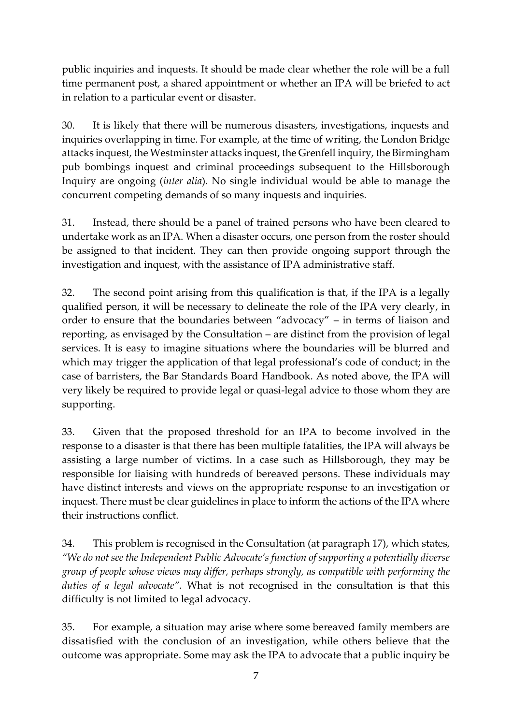public inquiries and inquests. It should be made clear whether the role will be a full time permanent post, a shared appointment or whether an IPA will be briefed to act in relation to a particular event or disaster.

30. It is likely that there will be numerous disasters, investigations, inquests and inquiries overlapping in time. For example, at the time of writing, the London Bridge attacks inquest, the Westminster attacks inquest, the Grenfell inquiry, the Birmingham pub bombings inquest and criminal proceedings subsequent to the Hillsborough Inquiry are ongoing (*inter alia*). No single individual would be able to manage the concurrent competing demands of so many inquests and inquiries.

31. Instead, there should be a panel of trained persons who have been cleared to undertake work as an IPA. When a disaster occurs, one person from the roster should be assigned to that incident. They can then provide ongoing support through the investigation and inquest, with the assistance of IPA administrative staff.

32. The second point arising from this qualification is that, if the IPA is a legally qualified person, it will be necessary to delineate the role of the IPA very clearly, in order to ensure that the boundaries between "advocacy" – in terms of liaison and reporting, as envisaged by the Consultation – are distinct from the provision of legal services. It is easy to imagine situations where the boundaries will be blurred and which may trigger the application of that legal professional's code of conduct; in the case of barristers, the Bar Standards Board Handbook. As noted above, the IPA will very likely be required to provide legal or quasi-legal advice to those whom they are supporting.

33. Given that the proposed threshold for an IPA to become involved in the response to a disaster is that there has been multiple fatalities, the IPA will always be assisting a large number of victims. In a case such as Hillsborough, they may be responsible for liaising with hundreds of bereaved persons. These individuals may have distinct interests and views on the appropriate response to an investigation or inquest. There must be clear guidelines in place to inform the actions of the IPA where their instructions conflict.

34. This problem is recognised in the Consultation (at paragraph 17), which states, *"We do not see the Independent Public Advocate's function of supporting a potentially diverse group of people whose views may differ, perhaps strongly, as compatible with performing the duties of a legal advocate".* What is not recognised in the consultation is that this difficulty is not limited to legal advocacy.

35. For example, a situation may arise where some bereaved family members are dissatisfied with the conclusion of an investigation, while others believe that the outcome was appropriate. Some may ask the IPA to advocate that a public inquiry be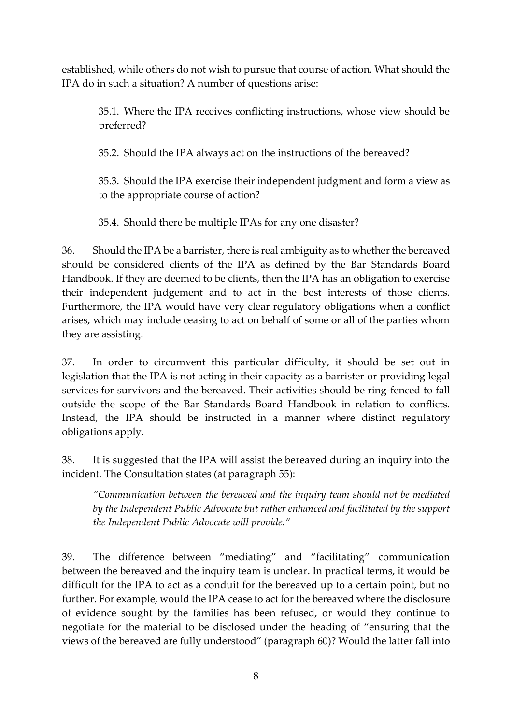established, while others do not wish to pursue that course of action. What should the IPA do in such a situation? A number of questions arise:

35.1. Where the IPA receives conflicting instructions, whose view should be preferred?

35.2. Should the IPA always act on the instructions of the bereaved?

35.3. Should the IPA exercise their independent judgment and form a view as to the appropriate course of action?

35.4. Should there be multiple IPAs for any one disaster?

36. Should the IPA be a barrister, there is real ambiguity as to whether the bereaved should be considered clients of the IPA as defined by the Bar Standards Board Handbook. If they are deemed to be clients, then the IPA has an obligation to exercise their independent judgement and to act in the best interests of those clients. Furthermore, the IPA would have very clear regulatory obligations when a conflict arises, which may include ceasing to act on behalf of some or all of the parties whom they are assisting.

37. In order to circumvent this particular difficulty, it should be set out in legislation that the IPA is not acting in their capacity as a barrister or providing legal services for survivors and the bereaved. Their activities should be ring-fenced to fall outside the scope of the Bar Standards Board Handbook in relation to conflicts. Instead, the IPA should be instructed in a manner where distinct regulatory obligations apply.

38. It is suggested that the IPA will assist the bereaved during an inquiry into the incident. The Consultation states (at paragraph 55):

*"Communication between the bereaved and the inquiry team should not be mediated by the Independent Public Advocate but rather enhanced and facilitated by the support the Independent Public Advocate will provide."*

39. The difference between "mediating" and "facilitating" communication between the bereaved and the inquiry team is unclear. In practical terms, it would be difficult for the IPA to act as a conduit for the bereaved up to a certain point, but no further. For example, would the IPA cease to act for the bereaved where the disclosure of evidence sought by the families has been refused, or would they continue to negotiate for the material to be disclosed under the heading of "ensuring that the views of the bereaved are fully understood" (paragraph 60)? Would the latter fall into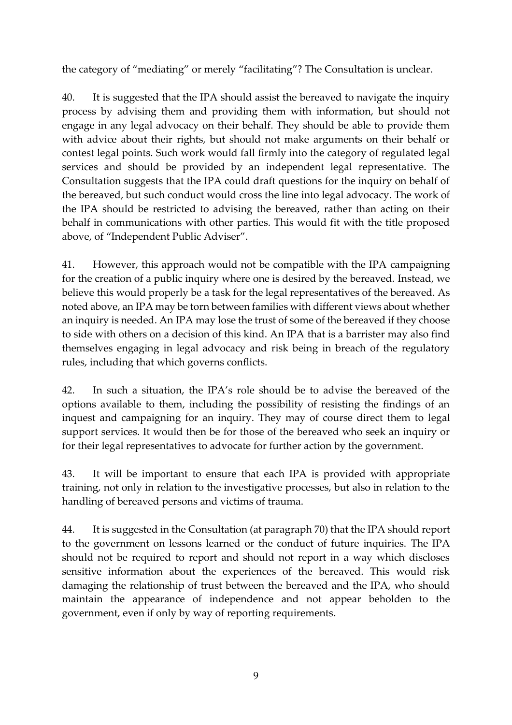the category of "mediating" or merely "facilitating"? The Consultation is unclear.

40. It is suggested that the IPA should assist the bereaved to navigate the inquiry process by advising them and providing them with information, but should not engage in any legal advocacy on their behalf. They should be able to provide them with advice about their rights, but should not make arguments on their behalf or contest legal points. Such work would fall firmly into the category of regulated legal services and should be provided by an independent legal representative. The Consultation suggests that the IPA could draft questions for the inquiry on behalf of the bereaved, but such conduct would cross the line into legal advocacy. The work of the IPA should be restricted to advising the bereaved, rather than acting on their behalf in communications with other parties. This would fit with the title proposed above, of "Independent Public Adviser".

41. However, this approach would not be compatible with the IPA campaigning for the creation of a public inquiry where one is desired by the bereaved. Instead, we believe this would properly be a task for the legal representatives of the bereaved. As noted above, an IPA may be torn between families with different views about whether an inquiry is needed. An IPA may lose the trust of some of the bereaved if they choose to side with others on a decision of this kind. An IPA that is a barrister may also find themselves engaging in legal advocacy and risk being in breach of the regulatory rules, including that which governs conflicts.

42. In such a situation, the IPA's role should be to advise the bereaved of the options available to them, including the possibility of resisting the findings of an inquest and campaigning for an inquiry. They may of course direct them to legal support services. It would then be for those of the bereaved who seek an inquiry or for their legal representatives to advocate for further action by the government.

43. It will be important to ensure that each IPA is provided with appropriate training, not only in relation to the investigative processes, but also in relation to the handling of bereaved persons and victims of trauma.

44. It is suggested in the Consultation (at paragraph 70) that the IPA should report to the government on lessons learned or the conduct of future inquiries. The IPA should not be required to report and should not report in a way which discloses sensitive information about the experiences of the bereaved. This would risk damaging the relationship of trust between the bereaved and the IPA, who should maintain the appearance of independence and not appear beholden to the government, even if only by way of reporting requirements.